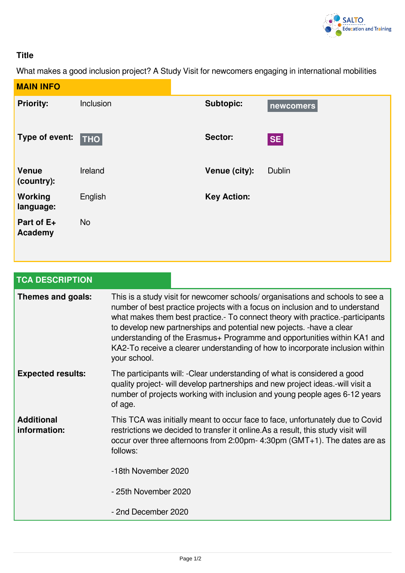

## **Title**

What makes a good inclusion project? A Study Visit for newcomers engaging in international mobilities

| <b>MAIN INFO</b>             |                     |                    |               |
|------------------------------|---------------------|--------------------|---------------|
| <b>Priority:</b>             | Inclusion           | <b>Subtopic:</b>   | newcomers     |
| Type of event:               | $\vert$ THO $\vert$ | Sector:            | <b>SE</b>     |
| <b>Venue</b><br>(country):   | Ireland             | Venue (city):      | <b>Dublin</b> |
| Working<br>language:         | English             | <b>Key Action:</b> |               |
| Part of E+<br><b>Academy</b> | <b>No</b>           |                    |               |

| <b>TCA DESCRIPTION</b>            |                                                                                                                                                                                                                                                                                                                                                                                                                                                                                                       |  |  |
|-----------------------------------|-------------------------------------------------------------------------------------------------------------------------------------------------------------------------------------------------------------------------------------------------------------------------------------------------------------------------------------------------------------------------------------------------------------------------------------------------------------------------------------------------------|--|--|
| Themes and goals:                 | This is a study visit for newcomer schools/ organisations and schools to see a<br>number of best practice projects with a focus on inclusion and to understand<br>what makes them best practice.- To connect theory with practice.-participants<br>to develop new partnerships and potential new pojects. - have a clear<br>understanding of the Erasmus+ Programme and opportunities within KA1 and<br>KA2-To receive a clearer understanding of how to incorporate inclusion within<br>your school. |  |  |
| <b>Expected results:</b>          | The participants will: - Clear understanding of what is considered a good<br>quality project- will develop partnerships and new project ideas.-will visit a<br>number of projects working with inclusion and young people ages 6-12 years<br>of age.                                                                                                                                                                                                                                                  |  |  |
| <b>Additional</b><br>information: | This TCA was initially meant to occur face to face, unfortunately due to Covid<br>restrictions we decided to transfer it online. As a result, this study visit will<br>occur over three afternoons from 2:00pm- 4:30pm ( $GMT+1$ ). The dates are as<br>follows:                                                                                                                                                                                                                                      |  |  |
|                                   | -18th November 2020                                                                                                                                                                                                                                                                                                                                                                                                                                                                                   |  |  |
|                                   | - 25th November 2020                                                                                                                                                                                                                                                                                                                                                                                                                                                                                  |  |  |
|                                   | - 2nd December 2020                                                                                                                                                                                                                                                                                                                                                                                                                                                                                   |  |  |